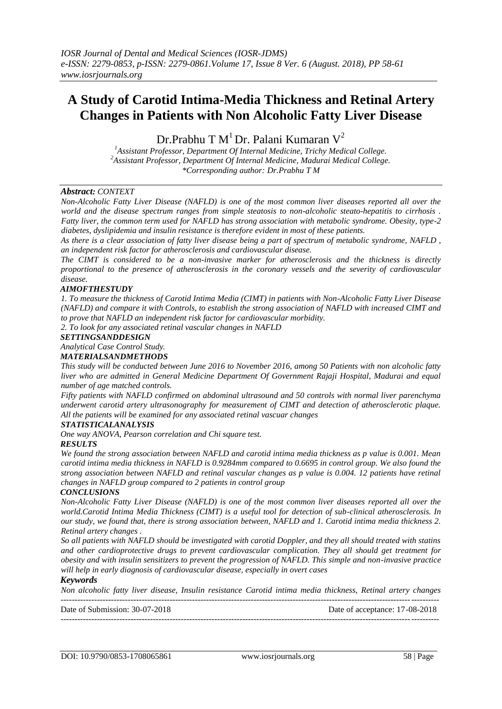# **A Study of Carotid Intima-Media Thickness and Retinal Artery Changes in Patients with Non Alcoholic Fatty Liver Disease**

Dr.Prabhu T  $M<sup>1</sup>$  Dr. Palani Kumaran  $V<sup>2</sup>$ 

*<sup>1</sup>Assistant Professor, Department Of Internal Medicine, Trichy Medical College. <sup>2</sup>Assistant Professor, Department Of Internal Medicine, Madurai Medical College. \*Corresponding author: Dr.Prabhu T M*

## *Abstract: CONTEXT*

*Non-Alcoholic Fatty Liver Disease (NAFLD) is one of the most common liver diseases reported all over the world and the disease spectrum ranges from simple steatosis to non-alcoholic steato-hepatitis to cirrhosis . Fatty liver, the common term used for NAFLD has strong association with metabolic syndrome. Obesity, type-2 diabetes, dyslipidemia and insulin resistance is therefore evident in most of these patients.* 

*As there is a clear association of fatty liver disease being a part of spectrum of metabolic syndrome, NAFLD , an independent risk factor for atherosclerosis and cardiovascular disease.* 

*The CIMT is considered to be a non-invasive marker for atherosclerosis and the thickness is directly proportional to the presence of atherosclerosis in the coronary vessels and the severity of cardiovascular disease.* 

## *AIMOFTHESTUDY*

*1. To measure the thickness of Carotid Intima Media (CIMT) in patients with Non-Alcoholic Fatty Liver Disease (NAFLD) and compare it with Controls, to establish the strong association of NAFLD with increased CIMT and to prove that NAFLD an independent risk factor for cardiovascular morbidity.* 

*2. To look for any associated retinal vascular changes in NAFLD*

## *SETTINGSANDDESIGN*

*Analytical Case Control Study.* 

#### *MATERIALSANDMETHODS*

*This study will be conducted between June 2016 to November 2016, among 50 Patients with non alcoholic fatty liver who are admitted in General Medicine Department Of Government Rajaji Hospital, Madurai and equal number of age matched controls.*

*Fifty patients with NAFLD confirmed on abdominal ultrasound and 50 controls with normal liver parenchyma underwent carotid artery ultrasonography for measurement of CIMT and detection of atherosclerotic plaque. All the patients will be examined for any associated retinal vascuar changes*

## *STATISTICALANALYSIS*

*One way ANOVA, Pearson correlation and Chi square test.* 

## *RESULTS*

*We found the strong association between NAFLD and carotid intima media thickness as p value is 0.001. Mean carotid intima media thickness in NAFLD is 0.9284mm compared to 0.6695 in control group. We also found the strong association between NAFLD and retinal vascular changes as p value is 0.004. 12 patients have retinal changes in NAFLD group compared to 2 patients in control group*

## *CONCLUSIONS*

*Non-Alcoholic Fatty Liver Disease (NAFLD) is one of the most common liver diseases reported all over the world.Carotid Intima Media Thickness (CIMT) is a useful tool for detection of sub-clinical atherosclerosis. In our study, we found that, there is strong association between, NAFLD and 1. Carotid intima media thickness 2. Retinal artery changes .*

*So all patients with NAFLD should be investigated with carotid Doppler, and they all should treated with statins and other cardioprotective drugs to prevent cardiovascular complication. They all should get treatment for obesity and with insulin sensitizers to prevent the progression of NAFLD. This simple and non-invasive practice will help in early diagnosis of cardiovascular disease, especially in overt cases* 

#### *Keywords*

*Non alcoholic fatty liver disease, Insulin resistance Carotid intima media thickness, Retinal artery changes* ---------------------------------------------------------------------------------------------------------------------------------------

Date of Submission: 30-07-2018 Date of acceptance: 17-08-2018

---------------------------------------------------------------------------------------------------------------------------------------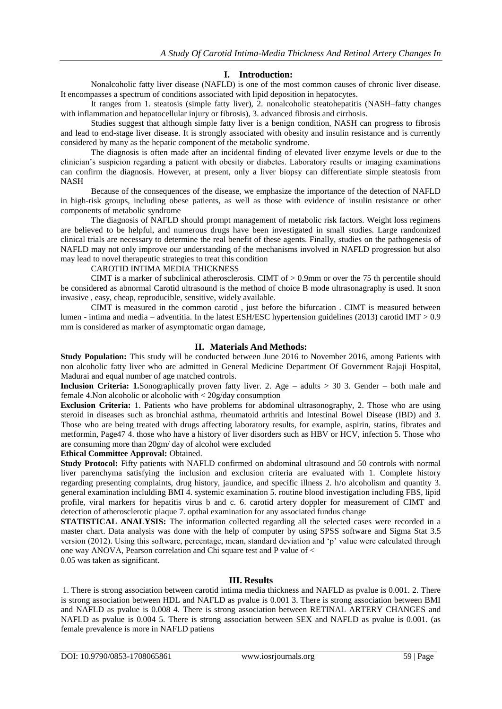# **I. Introduction:**

Nonalcoholic fatty liver disease (NAFLD) is one of the most common causes of chronic liver disease. It encompasses a spectrum of conditions associated with lipid deposition in hepatocytes.

It ranges from 1. steatosis (simple fatty liver), 2. nonalcoholic steatohepatitis (NASH–fatty changes with inflammation and hepatocellular injury or fibrosis), 3. advanced fibrosis and cirrhosis.

Studies suggest that although simple fatty liver is a benign condition, NASH can progress to fibrosis and lead to end-stage liver disease. It is strongly associated with obesity and insulin resistance and is currently considered by many as the hepatic component of the metabolic syndrome.

The diagnosis is often made after an incidental finding of elevated liver enzyme levels or due to the clinician's suspicion regarding a patient with obesity or diabetes. Laboratory results or imaging examinations can confirm the diagnosis. However, at present, only a liver biopsy can differentiate simple steatosis from NASH

Because of the consequences of the disease, we emphasize the importance of the detection of NAFLD in high-risk groups, including obese patients, as well as those with evidence of insulin resistance or other components of metabolic syndrome

The diagnosis of NAFLD should prompt management of metabolic risk factors. Weight loss regimens are believed to be helpful, and numerous drugs have been investigated in small studies. Large randomized clinical trials are necessary to determine the real benefit of these agents. Finally, studies on the pathogenesis of NAFLD may not only improve our understanding of the mechanisms involved in NAFLD progression but also may lead to novel therapeutic strategies to treat this condition

## CAROTID INTIMA MEDIA THICKNESS

CIMT is a marker of subclinical atherosclerosis. CIMT of  $> 0.9$ mm or over the 75 th percentile should be considered as abnormal Carotid ultrasound is the method of choice B mode ultrasonagraphy is used. It snon invasive , easy, cheap, reproducible, sensitive, widely available.

CIMT is measured in the common carotid , just before the bifurcation . CIMT is measured between lumen - intima and media – adventitia. In the latest ESH/ESC hypertension guidelines (2013) carotid IMT > 0.9 mm is considered as marker of asymptomatic organ damage,

# **II. Materials And Methods:**

**Study Population:** This study will be conducted between June 2016 to November 2016, among Patients with non alcoholic fatty liver who are admitted in General Medicine Department Of Government Rajaji Hospital, Madurai and equal number of age matched controls.

**Inclusion Criteria: 1.**Sonographically proven fatty liver. 2. Age – adults > 30 3. Gender – both male and female 4.Non alcoholic or alcoholic with < 20g/day consumption

**Exclusion Criteria:** 1. Patients who have problems for abdominal ultrasonography, 2. Those who are using steroid in diseases such as bronchial asthma, rheumatoid arthritis and Intestinal Bowel Disease (IBD) and 3. Those who are being treated with drugs affecting laboratory results, for example, aspirin, statins, fibrates and metformin, Page47 4. those who have a history of liver disorders such as HBV or HCV, infection 5. Those who are consuming more than 20gm/ day of alcohol were excluded

**Ethical Committee Approval:** Obtained.

**Study Protocol:** Fifty patients with NAFLD confirmed on abdominal ultrasound and 50 controls with normal liver parenchyma satisfying the inclusion and exclusion criteria are evaluated with 1. Complete history regarding presenting complaints, drug history, jaundice, and specific illness 2. h/o alcoholism and quantity 3. general examination inclulding BMI 4. systemic examination 5. routine blood investigation including FBS, lipid profile, viral markers for hepatitis virus b and c. 6. carotid artery doppler for measurement of CIMT and detection of atherosclerotic plaque 7. opthal examination for any associated fundus change

**STATISTICAL ANALYSIS:** The information collected regarding all the selected cases were recorded in a master chart. Data analysis was done with the help of computer by using SPSS software and Sigma Stat 3.5 version (2012). Using this software, percentage, mean, standard deviation and 'p' value were calculated through one way ANOVA, Pearson correlation and Chi square test and P value of < 0.05 was taken as significant.

# **III. Results**

1. There is strong association between carotid intima media thickness and NAFLD as pvalue is 0.001. 2. There is strong association between HDL and NAFLD as pvalue is 0.001 3. There is strong association between BMI and NAFLD as pvalue is 0.008 4. There is strong association between RETINAL ARTERY CHANGES and NAFLD as pvalue is 0.004 5. There is strong association between SEX and NAFLD as pvalue is 0.001. (as female prevalence is more in NAFLD patiens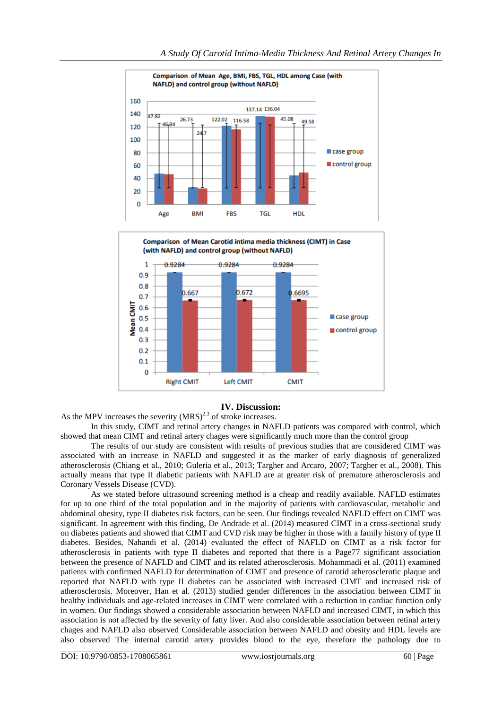



## **IV. Discussion:**

As the MPV increases the severity  $(MRS)^{2.3}$  of stroke increases.

In this study, CIMT and retinal artery changes in NAFLD patients was compared with control, which showed that mean CIMT and retinal artery chages were significantly much more than the control group

The results of our study are consistent with results of previous studies that are considered CIMT was associated with an increase in NAFLD and suggested it as the marker of early diagnosis of generalized atherosclerosis (Chiang et al., 2010; Guleria et al., 2013; Targher and Arcaro, 2007; Targher et al., 2008). This actually means that type II diabetic patients with NAFLD are at greater risk of premature atherosclerosis and Coronary Vessels Disease (CVD).

As we stated before ultrasound screening method is a cheap and readily available. NAFLD estimates for up to one third of the total population and in the majority of patients with cardiovascular, metabolic and abdominal obesity, type II diabetes risk factors, can be seen. Our findings revealed NAFLD effect on CIMT was significant. In agreement with this finding, De Andrade et al. (2014) measured CIMT in a cross-sectional study on diabetes patients and showed that CIMT and CVD risk may be higher in those with a family history of type II diabetes. Besides, Nahandi et al. (2014) evaluated the effect of NAFLD on CIMT as a risk factor for atherosclerosis in patients with type II diabetes and reported that there is a Page77 significant association between the presence of NAFLD and CIMT and its related atherosclerosis. Mohammadi et al. (2011) examined patients with confirmed NAFLD for determination of CIMT and presence of carotid atherosclerotic plaque and reported that NAFLD with type II diabetes can be associated with increased CIMT and increased risk of atherosclerosis. Moreover, Han et al. (2013) studied gender differences in the association between CIMT in healthy individuals and age-related increases in CIMT were correlated with a reduction in cardiac function only in women. Our findings showed a considerable association between NAFLD and increased CIMT, in which this association is not affected by the severity of fatty liver. And also considerable association between retinal artery chages and NAFLD also observed Considerable association between NAFLD and obesity and HDL levels are also observed The internal carotid artery provides blood to the eye, therefore the pathology due to